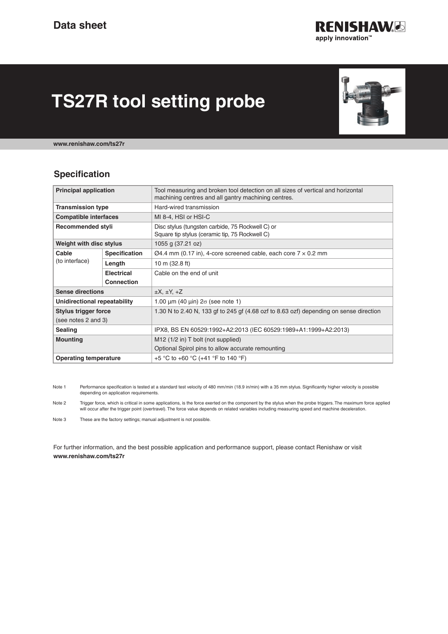

# **TS27R tool setting probe**



**[www.renishaw.com/ts27r](http://www.renishaw.com/ts27r)**

## **Specification**

| <b>Principal application</b><br>Tool measuring and broken tool detection on all sizes of vertical and horizontal<br>machining centres and all gantry machining centres.<br>Hard-wired transmission<br><b>Transmission type</b><br><b>Compatible interfaces</b><br>MI 8-4, HSI or HSI-C<br>Recommended styli<br>Disc stylus (tungsten carbide, 75 Rockwell C) or<br>Square tip stylus (ceramic tip, 75 Rockwell C)<br>Weight with disc stylus<br>1055 g (37.21 oz)<br>Cable<br><b>Specification</b><br>$\varnothing$ 4.4 mm (0.17 in), 4-core screened cable, each core $7 \times 0.2$ mm<br>(to interface)<br>10 m (32.8 ft)<br>Length<br><b>Electrical</b><br>Cable on the end of unit<br><b>Connection</b><br><b>Sense directions</b><br>$\pm X, \pm Y, +Z$<br>Unidirectional repeatability<br>1.00 $\mu$ m (40 $\mu$ in) $2\sigma$ (see note 1)<br><b>Stylus trigger force</b><br>1.30 N to 2.40 N, 133 gf to 245 gf (4.68 ozf to 8.63 ozf) depending on sense direction<br>(see notes 2 and 3)<br>IPX8, BS EN 60529:1992+A2:2013 (IEC 60529:1989+A1:1999+A2:2013)<br><b>Sealing</b><br><b>Mounting</b><br>M <sub>12</sub> (1/2 in) T bolt (not supplied)<br>Optional Spirol pins to allow accurate remounting<br><b>Operating temperature</b><br>+5 °C to +60 °C (+41 °F to 140 °F) |  |  |  |
|-----------------------------------------------------------------------------------------------------------------------------------------------------------------------------------------------------------------------------------------------------------------------------------------------------------------------------------------------------------------------------------------------------------------------------------------------------------------------------------------------------------------------------------------------------------------------------------------------------------------------------------------------------------------------------------------------------------------------------------------------------------------------------------------------------------------------------------------------------------------------------------------------------------------------------------------------------------------------------------------------------------------------------------------------------------------------------------------------------------------------------------------------------------------------------------------------------------------------------------------------------------------------------------------|--|--|--|
|                                                                                                                                                                                                                                                                                                                                                                                                                                                                                                                                                                                                                                                                                                                                                                                                                                                                                                                                                                                                                                                                                                                                                                                                                                                                                         |  |  |  |
|                                                                                                                                                                                                                                                                                                                                                                                                                                                                                                                                                                                                                                                                                                                                                                                                                                                                                                                                                                                                                                                                                                                                                                                                                                                                                         |  |  |  |
|                                                                                                                                                                                                                                                                                                                                                                                                                                                                                                                                                                                                                                                                                                                                                                                                                                                                                                                                                                                                                                                                                                                                                                                                                                                                                         |  |  |  |
|                                                                                                                                                                                                                                                                                                                                                                                                                                                                                                                                                                                                                                                                                                                                                                                                                                                                                                                                                                                                                                                                                                                                                                                                                                                                                         |  |  |  |
|                                                                                                                                                                                                                                                                                                                                                                                                                                                                                                                                                                                                                                                                                                                                                                                                                                                                                                                                                                                                                                                                                                                                                                                                                                                                                         |  |  |  |
|                                                                                                                                                                                                                                                                                                                                                                                                                                                                                                                                                                                                                                                                                                                                                                                                                                                                                                                                                                                                                                                                                                                                                                                                                                                                                         |  |  |  |
|                                                                                                                                                                                                                                                                                                                                                                                                                                                                                                                                                                                                                                                                                                                                                                                                                                                                                                                                                                                                                                                                                                                                                                                                                                                                                         |  |  |  |
|                                                                                                                                                                                                                                                                                                                                                                                                                                                                                                                                                                                                                                                                                                                                                                                                                                                                                                                                                                                                                                                                                                                                                                                                                                                                                         |  |  |  |
|                                                                                                                                                                                                                                                                                                                                                                                                                                                                                                                                                                                                                                                                                                                                                                                                                                                                                                                                                                                                                                                                                                                                                                                                                                                                                         |  |  |  |
|                                                                                                                                                                                                                                                                                                                                                                                                                                                                                                                                                                                                                                                                                                                                                                                                                                                                                                                                                                                                                                                                                                                                                                                                                                                                                         |  |  |  |
|                                                                                                                                                                                                                                                                                                                                                                                                                                                                                                                                                                                                                                                                                                                                                                                                                                                                                                                                                                                                                                                                                                                                                                                                                                                                                         |  |  |  |
|                                                                                                                                                                                                                                                                                                                                                                                                                                                                                                                                                                                                                                                                                                                                                                                                                                                                                                                                                                                                                                                                                                                                                                                                                                                                                         |  |  |  |
|                                                                                                                                                                                                                                                                                                                                                                                                                                                                                                                                                                                                                                                                                                                                                                                                                                                                                                                                                                                                                                                                                                                                                                                                                                                                                         |  |  |  |
|                                                                                                                                                                                                                                                                                                                                                                                                                                                                                                                                                                                                                                                                                                                                                                                                                                                                                                                                                                                                                                                                                                                                                                                                                                                                                         |  |  |  |
|                                                                                                                                                                                                                                                                                                                                                                                                                                                                                                                                                                                                                                                                                                                                                                                                                                                                                                                                                                                                                                                                                                                                                                                                                                                                                         |  |  |  |
|                                                                                                                                                                                                                                                                                                                                                                                                                                                                                                                                                                                                                                                                                                                                                                                                                                                                                                                                                                                                                                                                                                                                                                                                                                                                                         |  |  |  |
|                                                                                                                                                                                                                                                                                                                                                                                                                                                                                                                                                                                                                                                                                                                                                                                                                                                                                                                                                                                                                                                                                                                                                                                                                                                                                         |  |  |  |

Note 1 Performance specification is tested at a standard test velocity of 480 mm/min (18.9 in/min) with a 35 mm stylus. Significantly higher velocity is possible depending on application requirements.

Note 2 Trigger force, which is critical in some applications, is the force exerted on the component by the stylus when the probe triggers. The maximum force applied will occur after the trigger point (overtravel). The force value depends on related variables including measuring speed and machine deceleration.

Note 3 These are the factory settings; manual adjustment is not possible.

For further information, and the best possible application and performance support, please contact Renishaw or visit **[www.renishaw.com/ts27r](http://www.renishaw.com/ts27r)**